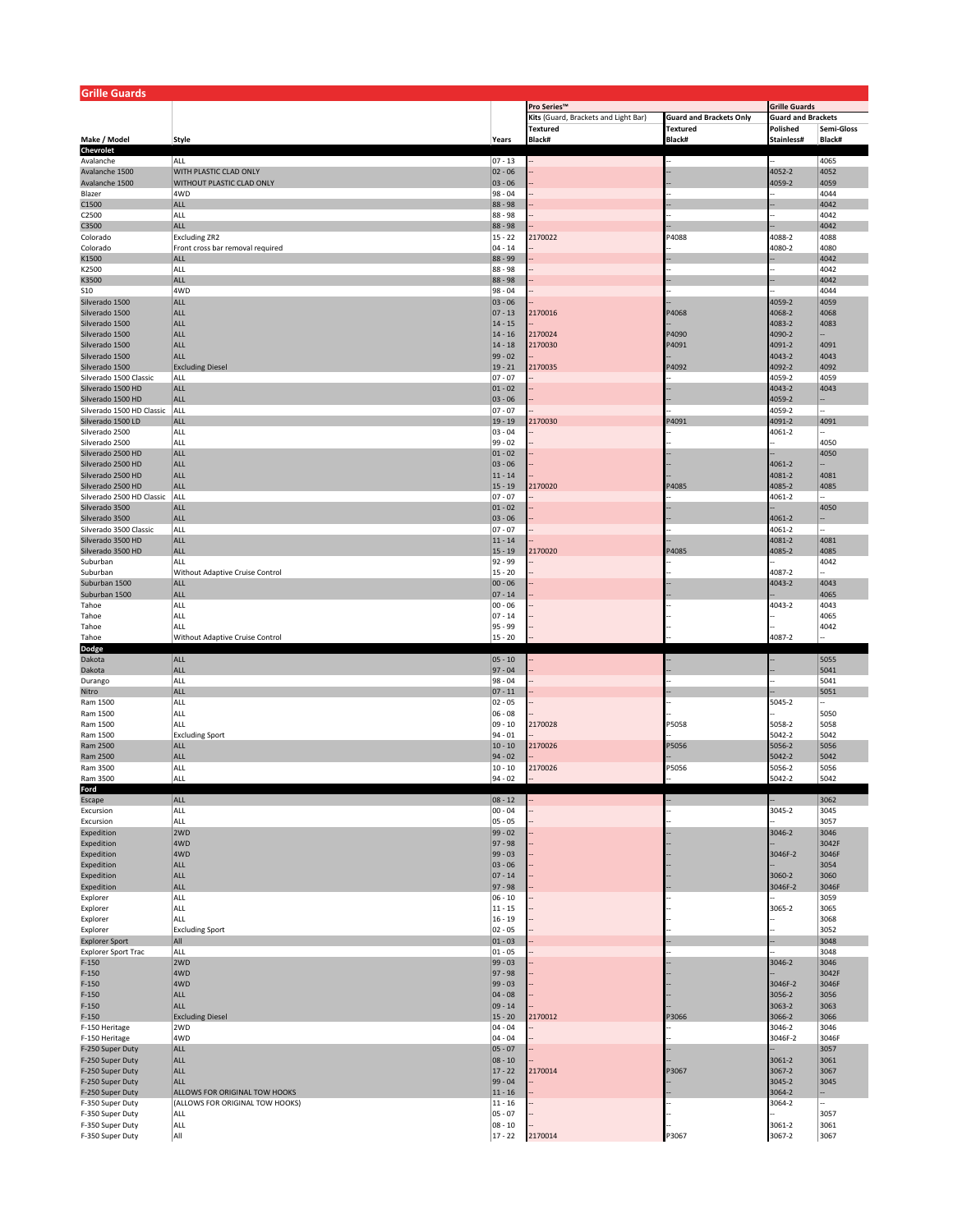| <b>Grille Guards</b>                 |                                  |                          |                                      |                                |                           |               |  |
|--------------------------------------|----------------------------------|--------------------------|--------------------------------------|--------------------------------|---------------------------|---------------|--|
|                                      |                                  |                          | Pro Series™<br><b>Grille Guards</b>  |                                |                           |               |  |
|                                      |                                  |                          | Kits (Guard, Brackets and Light Bar) | <b>Guard and Brackets Only</b> | <b>Guard and Brackets</b> |               |  |
|                                      |                                  |                          | <b>Textured</b>                      | <b>Textured</b>                | Polished                  | Semi-Gloss    |  |
| Make / Model<br>Chevrolet            | Style                            | Years                    | Black#                               | <b>Black#</b>                  | Stainless#                | Black#        |  |
| Avalanche                            | ALL                              | $07 - 13$                |                                      |                                |                           | 4065          |  |
| Avalanche 1500                       | <b>WITH PLASTIC CLAD ONLY</b>    | $02 - 06$                |                                      |                                | 4052-2                    | 4052          |  |
| Avalanche 1500                       | WITHOUT PLASTIC CLAD ONLY        | $ 03 - 06$               |                                      |                                | 4059-2                    | 4059          |  |
| Blazer                               | 4WD                              | $98 - 04$                |                                      |                                |                           | 4044          |  |
| C1500                                | ALL                              | 88 - 98                  |                                      |                                |                           | 4042          |  |
| C2500                                | ALL                              | 88 - 98                  |                                      |                                |                           | 4042          |  |
| C3500                                | ALL                              | 88 - 98                  |                                      |                                |                           | 4042          |  |
| Colorado                             | <b>Excluding ZR2</b>             | $15 - 22$                | 2170022                              | P4088                          | 4088-2                    | 4088          |  |
| Colorado                             | Front cross bar removal required | $04 - 14$                |                                      |                                | 4080-2                    | 4080          |  |
| K1500                                | ALL                              | 88 - 99                  |                                      |                                |                           | 4042          |  |
| K2500                                | ALL                              | 88 - 98                  |                                      |                                |                           | 4042          |  |
| K3500                                | ALL<br>4WD                       | 88 - 98<br>$98 - 04$     |                                      |                                |                           | 4042          |  |
| S10<br>Silverado 1500                | ALL                              | $ 03 - 06$               |                                      |                                | 4059-2                    | 4044<br>4059  |  |
| Silverado 1500                       | ALL                              | $ 07 - 13 $              | 2170016                              | P4068                          | 4068-2                    | 4068          |  |
| Silverado 1500                       | ALL                              | $14 - 15$                |                                      |                                | 4083-2                    | 4083          |  |
| Silverado 1500                       | ALL                              | $14 - 16$                | 2170024                              | P4090                          | 4090-2                    |               |  |
| Silverado 1500                       | ALL                              | $14 - 18$                | 2170030                              | P4091                          | 4091-2                    | 4091          |  |
| Silverado 1500                       | ALL                              | $99 - 02$                |                                      |                                | 4043-2                    | 4043          |  |
| Silverado 1500                       | <b>Excluding Diesel</b>          | $19 - 21$                | 2170035                              | P4092                          | 4092-2                    | 4092          |  |
| Silverado 1500 Classic               | ALL                              | $07 - 07$                |                                      |                                | 4059-2                    | 4059          |  |
| Silverado 1500 HD                    | ALL                              | $ 01 - 02 $              |                                      |                                | 4043-2                    | 4043          |  |
| Silverado 1500 HD                    | ALL                              | $03 - 06$                |                                      |                                | 4059-2                    |               |  |
| Silverado 1500 HD Classic            | ALL                              | $07 - 07$                |                                      |                                | 4059-2                    | ÷.            |  |
| Silverado 1500 LD                    | ALL                              | $19 - 19$                | 2170030                              | <sup>2</sup> 4091              | 4091-2                    | 4091          |  |
| Silverado 2500                       | ALL                              | $03 - 04$                |                                      |                                | 4061-2                    |               |  |
| Silverado 2500<br>Silverado 2500 HD  | ALL<br>ALL                       | $99 - 02$<br>$ 01 - 02 $ |                                      |                                |                           | 4050<br>4050  |  |
| Silverado 2500 HD                    | ALL                              | $ 03 - 06$               |                                      |                                | 4061-2                    |               |  |
| Silverado 2500 HD                    | <b>ALL</b>                       | $11 - 14$                |                                      |                                | 4081-2                    | 4081          |  |
| Silverado 2500 HD                    | ALL                              | $15 - 19$                | 2170020                              | P4085                          | 4085-2                    | 4085          |  |
| Silverado 2500 HD Classic            | ALL                              | $07 - 07$                |                                      |                                | 4061-2                    |               |  |
| Silverado 3500                       | <b>ALL</b>                       | $01 - 02$                |                                      |                                |                           | 4050          |  |
| Silverado 3500                       | ALL                              | $ 03 - 06$               |                                      |                                | 4061-2                    |               |  |
| Silverado 3500 Classic               | ALL                              | $07 - 07$                |                                      |                                | 4061-2                    |               |  |
| Silverado 3500 HD                    | ALL                              | $11 - 14$                |                                      |                                | 4081-2                    | 4081          |  |
| Silverado 3500 HD                    | ALL                              | $15 - 19$                | 2170020                              | P4085                          | 4085-2                    | 4085          |  |
| Suburban                             | ALL                              | 92 - 99                  |                                      |                                |                           | 4042          |  |
| Suburban                             | Without Adaptive Cruise Control  | $15 - 20$                |                                      |                                | 4087-2                    |               |  |
| Suburban 1500                        | <b>ALL</b>                       | $00 - 06$                |                                      |                                | 4043-2                    | 4043          |  |
| Suburban 1500                        | ALL                              | $07 - 14$                |                                      |                                |                           | 4065          |  |
| Tahoe<br>Tahoe                       | ALL<br>ALL                       | $00 - 06$<br>$07 - 14$   |                                      |                                | 4043-2                    | 4043<br>4065  |  |
| Tahoe                                | ALL                              | 95 - 99                  |                                      |                                |                           | 4042          |  |
| Tahoe                                | Without Adaptive Cruise Control  | $15 - 20$                |                                      |                                | 4087-2                    |               |  |
| Dodge                                |                                  |                          |                                      |                                |                           |               |  |
| Dakota                               | ALL                              | $ 05 - 10$               |                                      |                                |                           | 5055          |  |
| Dakota                               | ALL                              | $97 - 04$                |                                      |                                |                           | 5041          |  |
| Durango                              | ALL                              | 98 - 04                  |                                      |                                |                           | 5041          |  |
| Nitro                                | ALL                              | $ 07 - 11 $              |                                      |                                |                           | 5051          |  |
| Ram 1500                             | ALL                              | $02 - 05$                |                                      |                                | 5045-2                    |               |  |
| Ram 1500                             | ALL                              | $06 - 08$                |                                      |                                |                           | 5050          |  |
| Ram 1500                             | ALL                              | $09 - 10$                | 2170028                              | P5058                          | 5058-2                    | 5058          |  |
| Ram 1500                             | <b>Excluding Sport</b>           | $94 - 01$                |                                      |                                | 5042-2                    | 5042          |  |
| Ram 2500                             | <b>ALL</b><br>ALL                | $10 - 10$<br>$94 - 02$   | 2170026                              | P5056                          | 5056-2<br>5042-2          | 5056<br>5042  |  |
| Ram 2500<br>Ram 3500                 | ALL                              | $10 - 10$                | 2170026                              | P5056                          | 5056-2                    | 5056          |  |
| Ram 3500                             | ALL                              | $94 - 02$                |                                      |                                | 5042-2                    | 5042          |  |
| Ford                                 |                                  |                          |                                      |                                |                           |               |  |
| Escape                               | ALL                              | $08 - 12$                |                                      |                                |                           | 3062          |  |
| Excursion                            | ALL                              | $00 - 04$                |                                      |                                | 3045-2                    | 3045          |  |
| Excursion                            | ALL                              | $ 05 - 05$               |                                      |                                |                           | 3057          |  |
| Expedition                           | 2WD                              | $99 - 02$                |                                      |                                | 3046-2                    | 3046          |  |
| Expedition                           | 4WD                              | $97 - 98$                |                                      |                                |                           | 3042F         |  |
| Expedition                           | 4WD                              | $99 - 03$                |                                      |                                | 3046F-2                   | 3046F         |  |
| Expedition                           | <b>ALL</b>                       | $ 03 - 06$               |                                      |                                |                           | 3054          |  |
| Expedition                           | ALL                              | $ 07 - 14 $              |                                      |                                | 3060-2                    | 3060          |  |
| Expedition                           | ALL<br>ALL                       | $97 - 98$                |                                      |                                | 3046F-2                   | 3046F         |  |
| Explorer<br>Explorer                 | ALL                              | $06 - 10$<br>$11 - 15$   |                                      |                                | 3065-2                    | 3059<br>3065  |  |
| Explorer                             | ALL                              | $16 - 19$                |                                      |                                |                           | 3068          |  |
| Explorer                             | <b>Excluding Sport</b>           | $ 02 - 05$               |                                      |                                |                           | 3052          |  |
| <b>Explorer Sport</b>                | All                              | $01 - 03$                |                                      |                                |                           | 3048          |  |
| <b>Explorer Sport Trac</b>           | ALL                              | $01 - 05$                |                                      |                                |                           | 3048          |  |
| $F-150$                              | 2WD                              | $99 - 03$                |                                      |                                | 3046-2                    | 3046          |  |
| $F-150$                              | 4WD                              | $97 - 98$                |                                      |                                |                           | 3042F         |  |
| $F-150$                              | 4WD                              | $99 - 03$                |                                      |                                | 3046F-2                   | 3046F         |  |
| $F-150$                              | <b>ALL</b>                       | $ 04 - 08$               |                                      |                                | 3056-2                    | 3056          |  |
| $F-150$                              | ALL                              | $09 - 14$                |                                      |                                | 3063-2                    | 3063          |  |
| $F-150$                              | <b>Excluding Diesel</b>          | $15 - 20$                | 2170012                              | P3066                          | 3066-2                    | 3066          |  |
| F-150 Heritage                       | 2WD                              | 04 - 04                  |                                      |                                | 3046-2                    | 3046          |  |
| F-150 Heritage                       | 4WD<br>ALL                       | $04 - 04$                |                                      |                                | 3046F-2                   | 3046F<br>3057 |  |
| F-250 Super Duty<br>F-250 Super Duty | ALL                              | $ 05 - 07$<br>$ 08 - 10$ |                                      |                                | 3061-2                    | 3061          |  |
| F-250 Super Duty                     | ALL                              | $17 - 22$                | 2170014                              | P3067                          | 3067-2                    | 3067          |  |
| F-250 Super Duty                     | ALL                              | $99 - 04$                |                                      |                                | 3045-2                    | 3045          |  |
| F-250 Super Duty                     | ALLOWS FOR ORIGINAL TOW HOOKS    | $11 - 16$                |                                      |                                | 3064-2                    |               |  |
| F-350 Super Duty                     | (ALLOWS FOR ORIGINAL TOW HOOKS)  | $11 - 16$                |                                      |                                | 3064-2                    |               |  |
| F-350 Super Duty                     | ALL                              | $05 - 07$                |                                      |                                |                           | 3057          |  |
| F-350 Super Duty                     | ALL                              | $ 08 - 10$               |                                      |                                | 3061-2                    | 3061          |  |
| F-350 Super Duty                     | All                              | $17 - 22$                | 2170014                              | P3067                          | 3067-2                    | 3067          |  |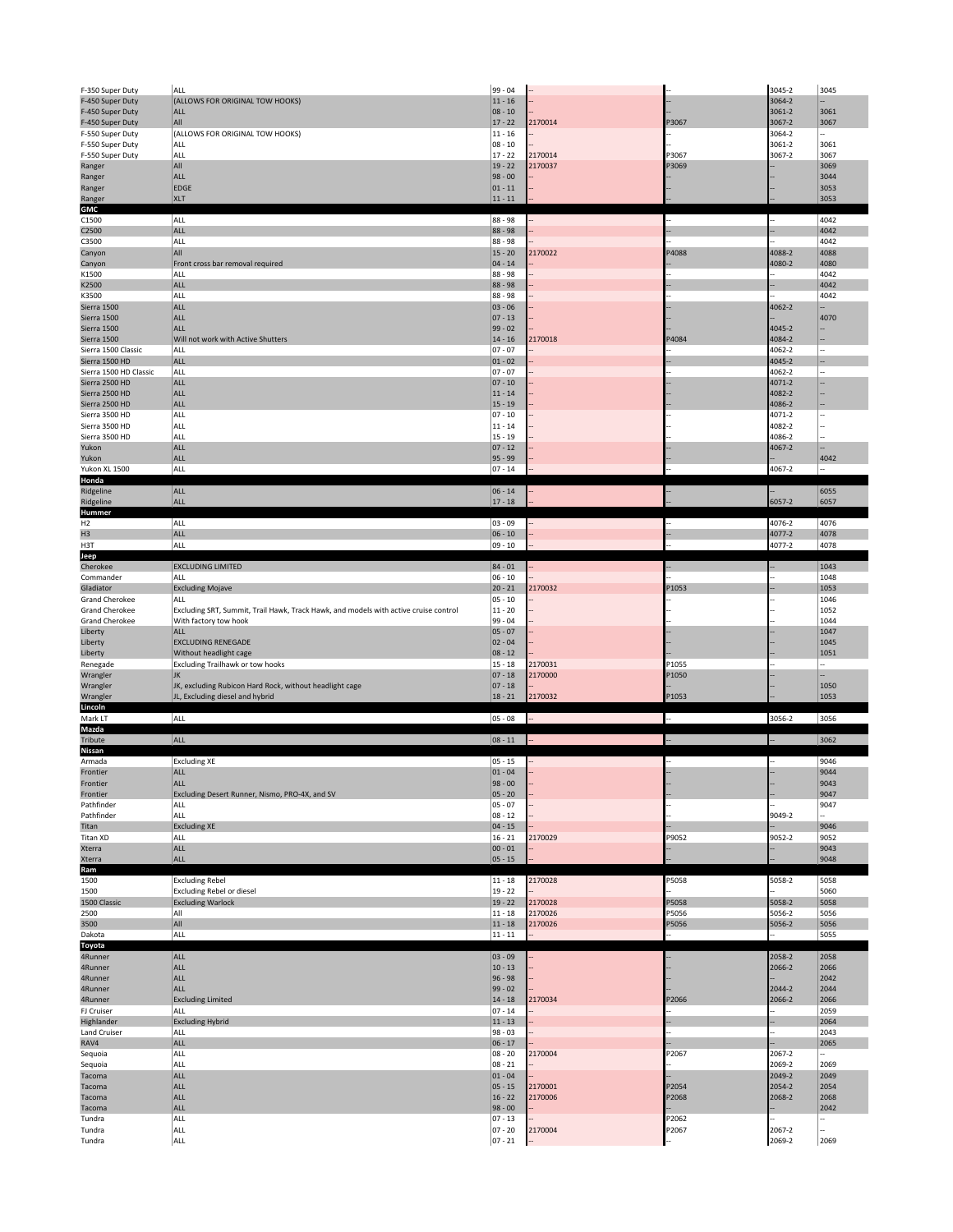| F-350 Super Duty                        | ALL                                                                                  | $99 - 04$                 |                    |                | 3045-2           | 3045         |
|-----------------------------------------|--------------------------------------------------------------------------------------|---------------------------|--------------------|----------------|------------------|--------------|
| F-450 Super Duty                        | (ALLOWS FOR ORIGINAL TOW HOOKS)                                                      | $11 - 16$                 |                    |                | 3064-2           |              |
| F-450 Super Duty                        | <b>ALL</b>                                                                           | $ 08 - 10$                |                    |                | 3061-2           | 3061         |
| F-450 Super Duty                        | All                                                                                  | $17 - 22$                 | 2170014            | P3067          | 3067-2           | 3067         |
| F-550 Super Duty                        | (ALLOWS FOR ORIGINAL TOW HOOKS)                                                      | $11 - 16$                 |                    |                | 3064-2           |              |
| F-550 Super Duty                        | ALL                                                                                  | $ 08 - 10$<br>$17 - 22$   |                    |                | 3061-2           | 3061         |
| F-550 Super Duty                        | ALL<br>All                                                                           | $19 - 22$                 | 2170014<br>2170037 | P3067<br>P3069 | 3067-2           | 3067<br>3069 |
| Ranger<br>Ranger                        | ALL                                                                                  | $98 - 00$                 |                    |                |                  | 3044         |
| Ranger                                  | <b>EDGE</b>                                                                          | $ 01 - 11 $               |                    |                |                  | 3053         |
| Ranger                                  | <b>XLT</b>                                                                           | $11 - 11$                 |                    |                |                  | 3053         |
| GMC                                     |                                                                                      |                           |                    |                |                  |              |
| C1500                                   | ALL                                                                                  | 88 - 98                   |                    |                |                  | 4042         |
| C2500                                   | <b>ALL</b>                                                                           | 88 - 98                   |                    |                |                  | 4042         |
| C3500                                   | ALL                                                                                  | 88 - 98                   |                    |                |                  | 4042         |
| Canyon                                  | All                                                                                  | $15 - 20$                 | 2170022            | P4088          | 4088-2           | 4088         |
| Canyon                                  | Front cross bar removal required<br>ALL                                              | $ 04 - 14$<br>88 - 98     |                    |                | 4080-2           | 4080<br>4042 |
| K1500<br>K2500                          | ALL                                                                                  | 88 - 98                   |                    |                |                  | 4042         |
| K3500                                   | ALL                                                                                  | 88 - 98                   |                    |                |                  | 4042         |
| Sierra 1500                             | ALL                                                                                  | $03 - 06$                 |                    |                | 4062-2           |              |
| Sierra 1500                             | <b>ALL</b>                                                                           | $ 07 - 13$                |                    |                |                  | 4070         |
| Sierra 1500                             | ALL                                                                                  | $99 - 02$                 |                    |                | 4045-2           |              |
| Sierra 1500                             | Will not work with Active Shutters                                                   | $14 - 16$                 | 2170018            | P4084          | 4084-2           |              |
| Sierra 1500 Classic                     | ALL                                                                                  | $07 - 07$                 |                    |                | 4062-2           |              |
| Sierra 1500 HD                          | ALL                                                                                  | $01 - 02$                 |                    |                | 4045-2           |              |
| Sierra 1500 HD Classic                  | ALL                                                                                  | $07 - 07$                 |                    |                | 4062-2           |              |
| Sierra 2500 HD<br>Sierra 2500 HD        | ALL<br><b>ALL</b>                                                                    | $07 - 10$<br>$11 - 14$    |                    |                | 4071-2<br>4082-2 |              |
| Sierra 2500 HD                          | ALL                                                                                  | $15 - 19$                 |                    |                | 4086-2           |              |
| Sierra 3500 HD                          | ALL                                                                                  | $07 - 10$                 |                    |                | 4071-2           |              |
| Sierra 3500 HD                          | ALL                                                                                  | $11 - 14$                 |                    |                | 4082-2           |              |
| Sierra 3500 HD                          | ALL                                                                                  | $15 - 19$                 |                    |                | 4086-2           |              |
| Yukon                                   | ALL                                                                                  | $ 07 - 12 $               |                    |                | 4067-2           |              |
| Yukon                                   | ALL                                                                                  | $95 - 99$                 |                    |                |                  | 4042         |
| Yukon XL 1500                           | ALL                                                                                  | $07 - 14$                 |                    |                | 4067-2           |              |
| Honda                                   |                                                                                      |                           |                    |                |                  |              |
| Ridgeline                               | <b>ALL</b>                                                                           | $ 06 - 14 $               |                    |                |                  | 6055         |
| Ridgeline<br>Hummer                     | <b>ALL</b>                                                                           | $17 - 18$                 |                    |                | 6057-2           | 6057         |
| H2                                      | ALL                                                                                  | $ 03 - 09$                |                    |                | 4076-2           | 4076         |
| H <sub>3</sub>                          | ALL                                                                                  | $06 - 10$                 |                    |                | 4077-2           | 4078         |
| H3T                                     | ALL                                                                                  | $09 - 10$                 |                    |                | 4077-2           | 4078         |
| Jeep                                    |                                                                                      |                           |                    |                |                  |              |
| Cherokee                                | <b>EXCLUDING LIMITED</b>                                                             | $84 - 01$                 |                    |                |                  | 1043         |
| Commander                               | ALL                                                                                  | $06 - 10$                 |                    |                |                  | 1048         |
| Gladiator                               | <b>Excluding Mojave</b>                                                              | $20 - 21$                 | 2170032            | P1053          |                  | 1053         |
| <b>Grand Cherokee</b>                   | ALL                                                                                  | $05 - 10$                 |                    |                |                  | 1046         |
| <b>Grand Cherokee</b><br>Grand Cherokee | Excluding SRT, Summit, Trail Hawk, Track Hawk, and models with active cruise control | $11 - 20$<br>99 - 04      |                    |                |                  | 1052<br>1044 |
| Liberty                                 | With factory tow hook<br>ALL                                                         | $05 - 07$                 |                    |                |                  | 1047         |
| Liberty                                 | <b>EXCLUDING RENEGADE</b>                                                            | $02 - 04$                 |                    |                |                  | 1045         |
| Liberty                                 | Without headlight cage                                                               | $08 - 12$                 |                    |                |                  | 1051         |
|                                         |                                                                                      |                           | 2170031            | P1055          |                  |              |
|                                         |                                                                                      | $15 - 18$                 |                    |                |                  |              |
| Renegade<br>Wrangler                    | Excluding Trailhawk or tow hooks<br>IK                                               | $07 - 18$                 | 2170000            | P1050          |                  |              |
| Wrangler                                | JK, excluding Rubicon Hard Rock, without headlight cage                              | $ 07 - 18$                |                    |                |                  | 1050         |
| Wrangler                                | JL, Excluding diesel and hybrid                                                      | $18 - 21$                 | 2170032            | P1053          |                  | 1053         |
| Lincoln                                 |                                                                                      |                           |                    |                |                  |              |
| Mark LT                                 | ALL                                                                                  | $ 05 - 08$                |                    |                | 3056-2           | 3056         |
| Mazda                                   |                                                                                      |                           |                    |                |                  |              |
| Tribute                                 | ALL                                                                                  | $ 08 - 11$                |                    |                |                  | 3062         |
| <b>Nissan</b><br>Armada                 |                                                                                      | $05 - 15$                 |                    |                |                  | 9046         |
| Frontier                                | <b>Excluding XE</b><br><b>ALL</b>                                                    | $01 - 04$                 |                    |                |                  | 9044         |
| Frontier                                | <b>ALL</b>                                                                           | 98 - 00                   |                    |                |                  | 9043         |
| Frontier                                | Excluding Desert Runner, Nismo, PRO-4X, and SV                                       | $ 05 - 20$                |                    |                |                  | 9047         |
| Pathfinder                              | ALL                                                                                  | $05 - 07$                 |                    |                |                  | 9047         |
| Pathfinder                              | ALL                                                                                  | $08 - 12$                 |                    |                | 9049-2           |              |
| Titan                                   | <b>Excluding XE</b>                                                                  | $04 - 15$                 |                    |                |                  | 9046         |
| Titan XD                                | ALL                                                                                  | $16 - 21$<br>$ 00 - 01 $  | 2170029            | P9052          | 9052-2           | 9052<br>9043 |
| Xterra<br>Xterra                        | ALL<br>ALL                                                                           | $05 - 15$                 |                    |                |                  | 9048         |
| Ram                                     |                                                                                      |                           |                    |                |                  |              |
| 1500                                    | <b>Excluding Rebel</b>                                                               | $11 - 18$                 | 2170028            | °5058          | 5058-2           | 5058         |
| 1500                                    | Excluding Rebel or diesel                                                            | $19 - 22$                 |                    |                |                  | 5060         |
| 1500 Classic                            | <b>Excluding Warlock</b>                                                             | $19 - 22$                 | 2170028            | P5058          | 5058-2           | 5058         |
| 2500                                    | All                                                                                  | $11 - 18$                 | 2170026            | P5056          | 5056-2           | 5056         |
| 3500                                    | All                                                                                  | $11 - 18$                 | 2170026            | P5056          | 5056-2           | 5056         |
| Dakota                                  | ALL                                                                                  | $11 - 11$                 |                    |                |                  | 5055         |
| <b>Toyota</b>                           |                                                                                      |                           |                    |                |                  |              |
| 4Runner<br>4Runner                      | ALL<br>ALL                                                                           | $ 03 - 09$<br>$10 - 13$   |                    |                | 2058-2<br>2066-2 | 2058<br>2066 |
| 4Runner                                 | ALL                                                                                  | $96 - 98$                 |                    |                |                  | 2042         |
| 4Runner                                 | ALL                                                                                  | $99 - 02$                 |                    |                | 2044-2           | 2044         |
| 4Runner                                 | <b>Excluding Limited</b>                                                             | $14 - 18$                 | 2170034            | P2066          | 2066-2           | 2066         |
| FJ Cruiser                              | ALL                                                                                  | $07 - 14$                 |                    |                |                  | 2059         |
| Highlander                              | <b>Excluding Hybrid</b>                                                              | $11 - 13$                 |                    |                |                  | 2064         |
| Land Cruiser                            | ALL                                                                                  | $98 - 03$                 |                    |                |                  | 2043         |
| RAV4                                    | ALL                                                                                  | $ 06 - 17 $               |                    |                |                  | 2065         |
| Sequoia                                 | ALL                                                                                  | $08 - 20$                 | 2170004            | P2067          | 2067-2           |              |
| Sequoia                                 | ALL                                                                                  | $ 08 - 21$                |                    |                | 2069-2           | 2069         |
| Tacoma<br>Tacoma                        | ALL<br>ALL                                                                           | $ 01 - 04$<br>$05 - 15$   | 2170001            | P2054          | 2049-2<br>2054-2 | 2049<br>2054 |
| Tacoma                                  | ALL                                                                                  | $16 - 22$                 | 2170006            | P2068          | 2068-2           | 2068         |
| Tacoma                                  | ALL                                                                                  | $98 - 00$                 |                    |                |                  | 2042         |
| Tundra                                  | ALL                                                                                  | $07 - 13$                 |                    | P2062          |                  |              |
| Tundra<br>Tundra                        | ALL<br>ALL                                                                           | $ 07 - 20$<br>$ 07 - 21 $ | 2170004            | P2067          | 2067-2<br>2069-2 | 2069         |